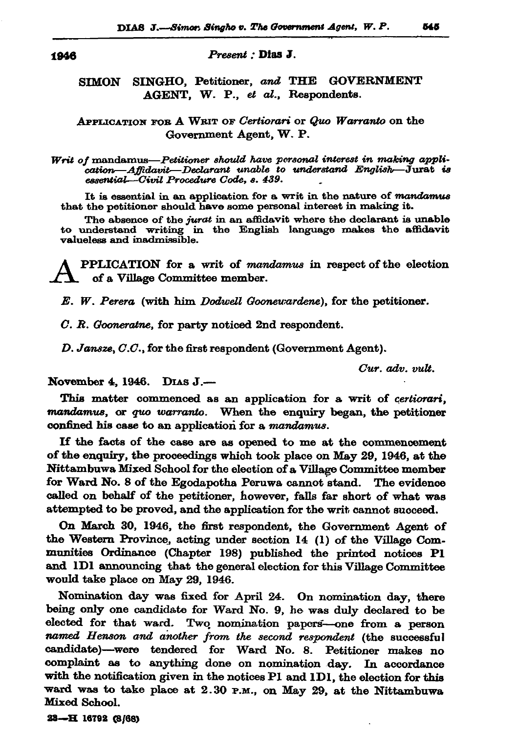## 1946

Present : Dias J.

## **SIMON** SINGHO, Petitioner, and THE GOVERNMENT AGENT, W. P., et al., Respondents.

## APPLICATION FOR A WRIT OF Certiorari or Quo Warranto on the Government Agent, W. P.

Writ of mandamus-Petitioner should have personal interest in making annlication—Affidavit—Declarant unable to understand English— $\tilde{J}$ urat is essential-Civil Procedure Code, s. 439.

It is essential in an application for a writ in the nature of mandamus that the petitioner should have some personal interest in making it.

The absence of the jurat in an affidavit where the declarant is unable to understand writing in the English language makes the affidavit valueless and inadmissible.

PPLICATION for a writ of mandamus in respect of the election of a Village Committee member.

E. W. Perera (with him Dodwell Goonewardene), for the petitioner.

C. R. Gooneratne, for party noticed 2nd respondent.

D. Jansze, C.C., for the first respondent (Government Agent).

Cur. adv. vult.

November 4, 1946. DIAS J.-

This matter commenced as an application for a writ of certiorari, mandamus, or quo warranto. When the enquiry began, the petitioner confined his case to an application for a mandamus.

If the facts of the case are as opened to me at the commencement of the enquiry, the proceedings which took place on May 29, 1946, at the Nittambuwa Mixed School for the election of a Village Committee member for Ward No. 8 of the Egodapotha Peruwa cannot stand. The evidence called on behalf of the petitioner, however, falls far short of what was attempted to be proved, and the application for the writ cannot succeed.

On March 30, 1946, the first respondent, the Government Agent of the Western Province, acting under section 14 (1) of the Village Communities Ordinance (Chapter 198) published the printed notices P1 and IDI announcing that the general election for this Village Committee would take place on May 29, 1946.

Nomination day was fixed for April 24. On nomination day, there being only one candidate for Ward No. 9, he was duly declared to be elected for that ward. Two nomination papers-one from a person named Henson and another from the second respondent (the successful candidate)—were tendered for Ward No. 8. Petitioner makes no complaint as to anything done on nomination day. In accordance with the notification given in the notices P1 and 1D1, the election for this ward was to take place at 2.30 P.M., on May 29, at the Nittambuwa Mixed School.

23-H 16792 (8/68)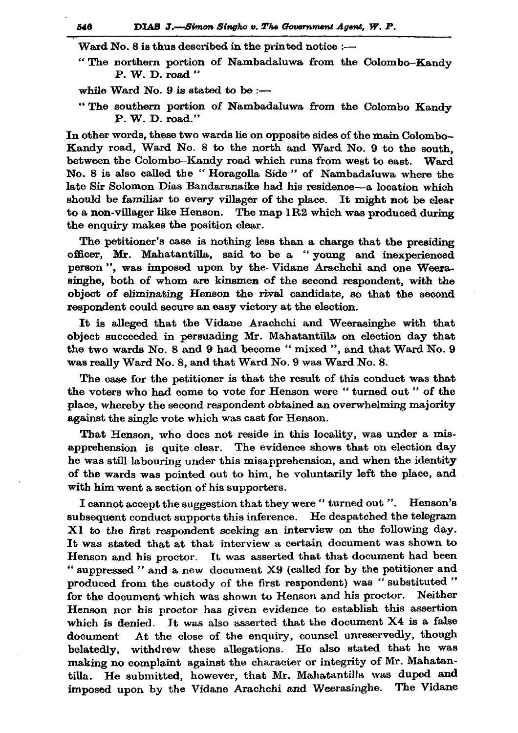Ward No. 8 is thus described in the printed notice :-

"The northern portion of Nambadaluwa from the Colombo-Kandy  $P. W. D. road''$ 

while Ward No. 9 is stated to be :-

"The southern portion of Nambadaluwa from the Colombo Kandy P. W. D. road."

In other words, these two wards lie on opposite sides of the main Colombo-Kandy road, Ward No. 8 to the north and Ward No. 9 to the south, between the Colombo-Kandy road which runs from west to east. Ward No. 8 is also called the "Horagolla Side" of Nambadaluwa where the late Sir Solomon Dias Bandaranaike had his residence—a location which should be familiar to every villager of the place. It might not be clear to a non-villager like Henson. The map 1R2 which was produced during the enquiry makes the position clear.

The petitioner's case is nothing less than a charge that the presiding officer, Mr. Mahatantilla, said to be a "young and inexperienced person", was imposed upon by the Vidane Arachchi and one Weerasinghe, both of whom are kinsmen of the second respondent, with the object of eliminating Henson the rival candidate, so that the second respondent could secure an easy victory at the election.

It is alleged that the Vidane Arachchi and Weerasinghe with that object succeeded in persuading Mr. Mahatantilla on election day that the two wards No. 8 and 9 had become "mixed ", and that Ward No. 9 was really Ward No. 8, and that Ward No. 9 was Ward No. 8.

The case for the petitioner is that the result of this conduct was that the voters who had come to vote for Henson were "turned out" of the place, whereby the second respondent obtained an overwhelming majority against the single vote which was cast for Henson.

That Henson, who does not reside in this locality, was under a misapprehension is quite clear. The evidence shows that on election day he was still labouring under this misapprehension, and when the identity of the wards was pointed out to him, he voluntarily left the place, and with him went a section of his supporters.

I cannot accept the suggestion that they were " turned out ". Henson's subsequent conduct supports this inference. He despatched the telegram XI to the first respondent seeking an interview on the following day. It was stated that at that interview a certain document was shown to Henson and his proctor. It was asserted that that document had been " suppressed " and a new document X9 (called for by the petitioner and produced from the custody of the first respondent) was "substituted" for the document which was shown to Henson and his proctor. Neither Henson nor his proctor has given evidence to establish this assertion which is denied. It was also asserted that the document X4 is a false At the close of the enquiry, counsel unreservedly, though document belatedly, withdrew these allegations. He also stated that he was making no complaint against the character or integrity of Mr. Mahatantilla. He submitted, however, that Mr. Mahatantilla was duped and imposed upon by the Vidane Arachchi and Weerasinghe. The Vidane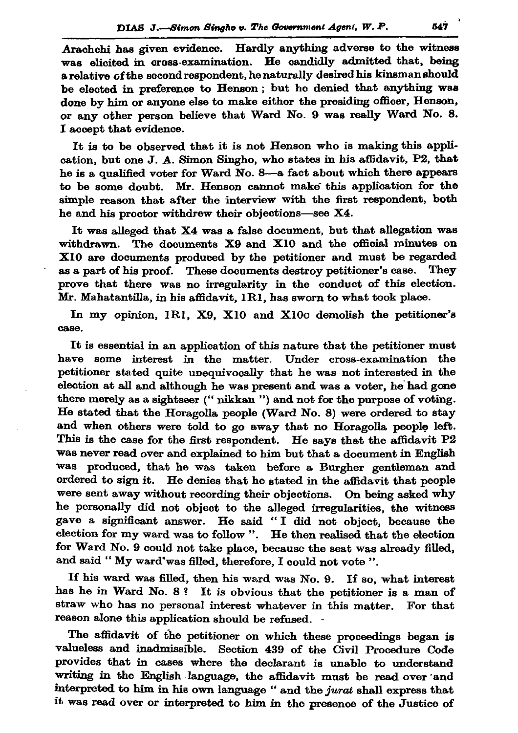Arachchi has given evidence. Hardly anything adverse to the witness was elicited in cross-examination. He candidly admitted that, being a relative of the second respondent, he naturally desired his kinsman should be elected in preference to Henson; but he denied that anything was done by him or anyone else to make either the presiding officer, Henson, or any other person believe that Ward No. 9 was really Ward No. 8. I accept that evidence.

It is to be observed that it is not Henson who is making this application, but one J. A. Simon Singho, who states in his affidavit, P2, that he is a qualified voter for Ward No. 8-a fact about which there appears to be some doubt. Mr. Henson cannot make this application for the simple reason that after the interview with the first respondent, both he and his proctor withdrew their objections-see X4.

It was alleged that X4 was a false document, but that allegation was withdrawn. The documents X9 and X10 and the official minutes on X10 are documents produced by the petitioner and must be regarded as a part of his proof. These documents destroy petitioner's case. They prove that there was no irregularity in the conduct of this election. Mr. Mahatantilla, in his affidavit, 1R1, has sworn to what took place.

In my opinion, 1R1, X9, X10 and X10c demolish the petitioner's case.

It is essential in an application of this nature that the petitioner must have some interest in the matter. Under cross-examination the petitioner stated quite unequivocally that he was not interested in the election at all and although he was present and was a voter, he had gone there merely as a sightseer ("nikkan") and not for the purpose of voting. He stated that the Horagolla people (Ward No. 8) were ordered to stay and when others were told to go away that no Horagolla people left. This is the case for the first respondent. He says that the affidavit P2 was never read over and explained to him but that a document in English was produced, that he was taken before a Burgher gentleman and ordered to sign it. He denies that he stated in the affidavit that people were sent away without recording their objections. On being asked why he personally did not object to the alleged irregularities, the witness gave a significant answer. He said "I did not object, because the election for my ward was to follow ". He then realised that the election for Ward No. 9 could not take place, because the seat was already filled, and said "My ward'was filled, therefore, I could not vote ".

If his ward was filled, then his ward was No. 9. If so, what interest has he in Ward No. 8? It is obvious that the petitioner is a man of straw who has no personal interest whatever in this matter. For that reason alone this application should be refused.

The affidavit of the petitioner on which these proceedings began is valueless and inadmissible. Section 439 of the Civil Procedure Code provides that in cases where the declarant is unable to understand writing in the English language, the affidavit must be read over and interpreted to him in his own language " and the jurat shall express that it was read over or interpreted to him in the presence of the Justice of